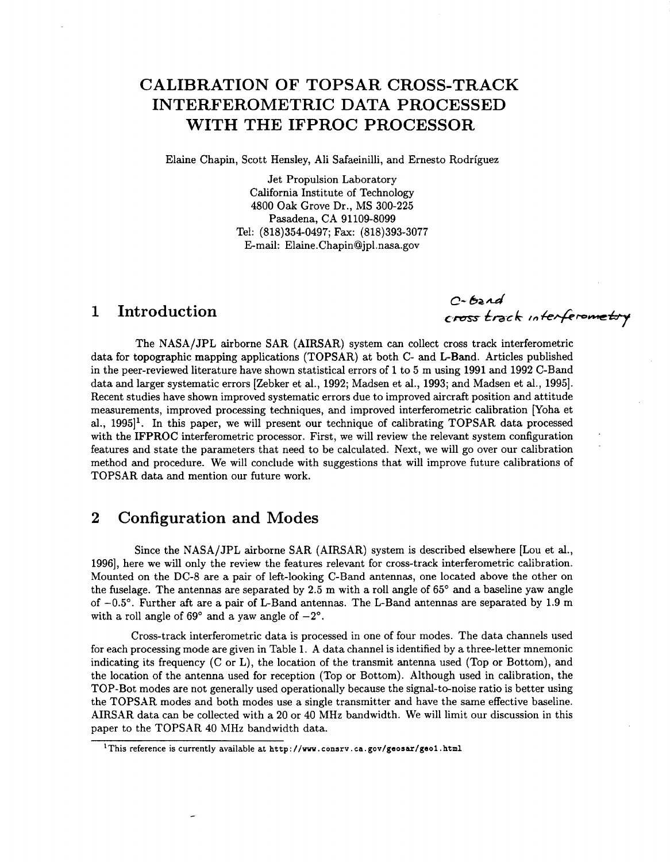# **CALIBRATION OF TOPSAR CROSS-TRACK INTERFEROMETRIC DATA PROCESSED WITH THE IFPROC PROCESSOR**

Elaine Chapin, Scott Hensley, Ali Safaeinilli, and Ernesto Rodriguez

Jet Propulsion Laboratory California Institute of Technology **4800** Oak Grove Dr., MS **300-225**  Pasadena, CA **91109-8099**  Tel: **(818)354-0497;** Fax: **(818)393-3077**  E-mail: [Elaine.Chapin@jpl.nasa.gov](mailto:Elaine.Chapin@jpl.nasa.gov)

## **1 Introduction**

 $C$ -bard C-band<br>cross track interferometry

The NASA/JPL airborne SAR (AIRSAR) system can collect cross track interferometric data for topographic mapping applications (TOPSAR) at both C- and L-Band. Articles published in the peer-reviewed literature have shown statistical errors of **1** to **5** m using **1991** and **1992** C-Band data and larger systematic errors [Zebker et al., **1992;** Madsen et al., **1993;** and Madsen et al., **19951.**  Recent studies have shown improved systematic errors due to improved aircraft position and attitude measurements, improved processing techniques, and improved interferometric calibration [Yoha et al., **19951'.** In this paper, we will present our technique of calibrating TOPSAR data processed with the IFPROC interferometric processor. First, we will review the relevant system configuration features and state the parameters that need to be calculated. Next, we will go over our calibration method and procedure. We will conclude with suggestions that will improve future calibrations of TOPSAR data and mention our future work.

## **2 Configuration and Modes**

Since the NASA/JPL airborne SAR (AIRSAR) system is described elsewhere [Lou et al., **19961,** here we will only the review the features relevant for cross-track interferometric calibration. Mounted on the DC-8 are a pair of left-looking C-Band antennas, one located above the other on the fuselage. The antennas are separated by **2.5** m with a roll angle of **65"** and a baseline yaw angle of **-0.5".** Further aft are a pair of L-Band antennas. The L-Band antennas are separated by **1.9** m with a roll angle of  $69^\circ$  and a yaw angle of  $-2^\circ$ .

Cross-track interferometric data is processed in one of four modes. The data channels used for each processing mode are given in Table **1.** A data channel is identified by a three-letter mnemonic indicating its frequency  $(C \text{ or } L)$ , the location of the transmit antenna used (Top or Bottom), and the location of the antenna used for reception (Top or Bottom). Although used in calibration, the TOP-Bot modes are not generally used operationally because the signal-to-noise ratio is better using the TOPSAR modes and both modes use a single transmitter and have the same effective baseline. AIRSAR data can be collected with a **20** or **40** MHz bandwidth. We will limit our discussion in this paper to the TOPSAR **40** MHz bandwidth data.

<sup>&</sup>lt;sup>1</sup>This reference is currently available at http://www.consrv.ca.gov/geosar/geo1.html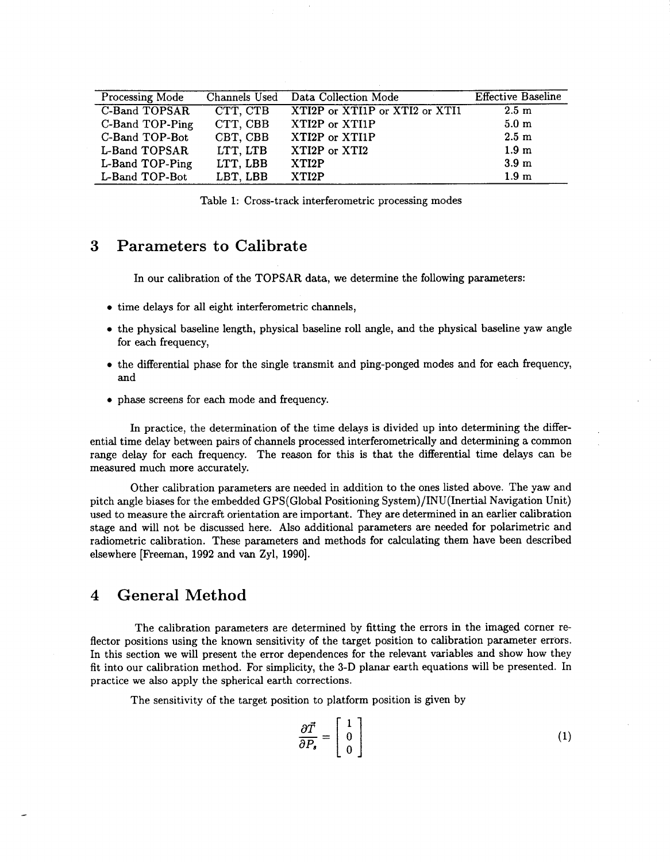| Processing Mode      |          | Channels Used Data Collection Mode | <b>Effective Baseline</b> |
|----------------------|----------|------------------------------------|---------------------------|
| <b>C-Band TOPSAR</b> | CTT, CTB | XTI2P or XTI1P or XTI2 or XTI1     | $2.5 \text{ m}$           |
| C-Band TOP-Ping      | CTT, CBB | XTI2P or XTI1P                     | 5.0 <sub>m</sub>          |
| C-Band TOP-Bot       | CBT, CBB | XTI2P or XTI1P                     | $2.5 \text{ m}$           |
| L-Band TOPSAR        | LTT, LTB | XTI2P or XTI2                      | 1.9 <sub>m</sub>          |
| L-Band TOP-Ping      | LTT, LBB | XTI2P                              | 3.9 <sub>m</sub>          |
| L-Band TOP-Bot       | LBT, LBB | XTI2P                              | 1.9 <sub>m</sub>          |

Table 1: Cross-track interferometric processing modes

## **3 Parameters to Calibrate**

In our calibration of the TOPSAR data, we determine the following parameters:

- *0* time delays for all eight interferometric channels,
- *0* the physical baseline length, physical baseline roll angle, and the physical baseline yaw angle for each frequency,
- *0* the differential phase for the single transmit and ping-ponged modes and for each frequency, and
- *0* phase screens for each mode and frequency.

In practice, the determination of the time delays is divided up into determining the differential time delay between pairs of channels processed interferometrically and determining a common range delay for each frequency. The reason for this is that the differential time delays can be measured much more accurately.

Other calibration parameters are needed in addition to the ones listed above. The yaw and pitch angle biases for the embedded GPS(Globa1 Positioning System)/INU(Inertial Navigation Unit) used to measure the aircraft orientation are important. They are determined in an earlier calibration stage and will not be discussed here. Also additional parameters are needed for polarimetric and radiometric calibration. These parameters and methods for calculating them have been described elsewhere [Freeman, 1992 and van Zyl, 1990].

#### **4 General Method**

The calibration parameters are determined by fitting the errors in the imaged corner reflector positions using the known sensitivity of the target position to calibration parameter errors. In this section we will present the error dependences for the relevant variables and show how they fit into our calibration method. For simplicity, the 3-D planar earth equations will be presented. In practice we also apply the spherical earth corrections.

The sensitivity of the target position to platform position is given by

$$
\frac{\partial \vec{T}}{\partial P_s} = \begin{bmatrix} 1 \\ 0 \\ 0 \end{bmatrix} \tag{1}
$$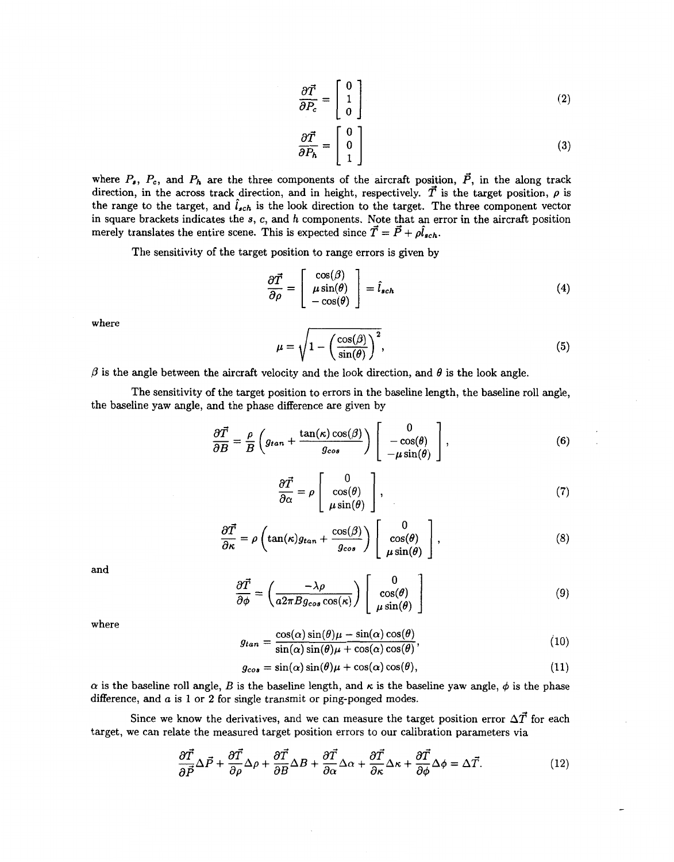$$
\frac{\partial \vec{T}}{\partial P_c} = \begin{bmatrix} 0 \\ 1 \\ 0 \end{bmatrix} \tag{2}
$$

$$
\frac{\partial \vec{T}}{\partial P_h} = \begin{bmatrix} 0 \\ 0 \\ 1 \end{bmatrix} \tag{3}
$$

where  $P_s$ ,  $P_c$ , and  $P_h$  are the three components of the aircraft position,  $\vec{P}$ , in the along track direction, in the across track direction, and in height, respectively.  $\vec{T}$  is the target position,  $\rho$  is the range to the target, and  $\hat{l}_{sch}$  is the look direction to the target. The three component vector in square brackets indicates the *s, c,* and *h* components. Note that an error in the aircraft position merely translates the entire scene. This is expected since  $\vec{T} = \vec{P} + \rho \hat{l}_{sch}$ .

The sensitivity of the target position to range errors is given by

$$
\frac{\partial \vec{T}}{\partial \rho} = \begin{bmatrix} \cos(\beta) \\ \mu \sin(\theta) \\ -\cos(\theta) \end{bmatrix} = \hat{l}_{sch}
$$
\n(4)

where

$$
\mu = \sqrt{1 - \left(\frac{\cos(\beta)}{\sin(\theta)}\right)^2},\tag{5}
$$

 $\beta$  is the angle between the aircraft velocity and the look direction, and  $\theta$  is the look angle.

The sensitivity of the target position to errors in the baseline length, the baseline roll angle, the baseline yaw angle, and the phase difference are given by

$$
\frac{\partial \vec{T}}{\partial B} = \frac{\rho}{B} \left( g_{tan} + \frac{\tan(\kappa) \cos(\beta)}{g_{cos}} \right) \begin{bmatrix} 0 \\ -\cos(\theta) \\ -\mu \sin(\theta) \end{bmatrix}, \tag{6}
$$

$$
\frac{\partial \vec{T}}{\partial \alpha} = \rho \begin{bmatrix} 0 \\ \cos(\theta) \\ \mu \sin(\theta) \end{bmatrix},\tag{7}
$$

$$
\frac{\partial \vec{T}}{\partial \kappa} = \rho \left( \tan(\kappa) g_{tan} + \frac{\cos(\beta)}{g_{cos}} \right) \begin{bmatrix} 0 \\ \cos(\theta) \\ \mu \sin(\theta) \end{bmatrix}, \tag{8}
$$

and

$$
\frac{\partial \vec{T}}{\partial \phi} = \left(\frac{-\lambda \rho}{a 2\pi B g_{\cos} \cos(\kappa)}\right) \begin{bmatrix} 0 \\ \cos(\theta) \\ \mu \sin(\theta) \end{bmatrix}
$$
(9)

where

$$
g_{tan} = \frac{\cos(\alpha)\sin(\theta)\mu - \sin(\alpha)\cos(\theta)}{\sin(\alpha)\sin(\theta)\mu + \cos(\alpha)\cos(\theta)},
$$
\n(10)

$$
g_{cos} = \sin(\alpha)\sin(\theta)\mu + \cos(\alpha)\cos(\theta), \qquad (11)
$$

 $\alpha$  is the baseline roll angle, *B* is the baseline length, and  $\kappa$  is the baseline yaw angle,  $\phi$  is the phase difference, and *a* is **1** or **2** for single transmit or ping-ponged modes.

Since we know the derivatives, and we can measure the target position error  $\Delta \vec{T}$  for each target, we can relate the measured target position errors to our calibration parameters via

$$
\frac{\partial \vec{T}}{\partial \vec{P}} \Delta \vec{P} + \frac{\partial \vec{T}}{\partial \rho} \Delta \rho + \frac{\partial \vec{T}}{\partial B} \Delta B + \frac{\partial \vec{T}}{\partial \alpha} \Delta \alpha + \frac{\partial \vec{T}}{\partial \kappa} \Delta \kappa + \frac{\partial \vec{T}}{\partial \phi} \Delta \phi = \Delta \vec{T}.
$$
 (12)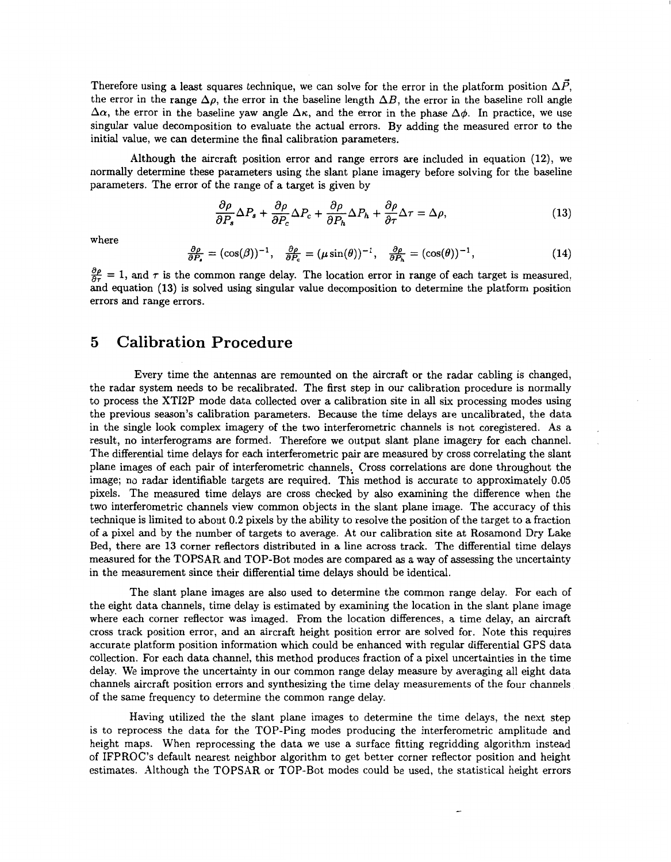Therefore using a least squares technique, we can solve for the error in the platform position  $\Delta \vec{P}$ , the error in the range  $\Delta \rho$ , the error in the baseline length  $\Delta B$ , the error in the baseline roll angle  $\Delta \alpha$ , the error in the baseline yaw angle  $\Delta \kappa$ , and the error in the phase  $\Delta \phi$ . In practice, we use singular value decomposition to evaluate the actual errors. By adding the measured error to the initial value, we can determine the final calibration parameters.

Although the aircraft position error and range errors are included in equation (12.), we normally determine these parameters using the slant plane imagery before solving for the baseline parameters. The error of the range of a target is given by

$$
\frac{\partial \rho}{\partial P_s} \Delta P_s + \frac{\partial \rho}{\partial P_c} \Delta P_c + \frac{\partial \rho}{\partial P_h} \Delta P_h + \frac{\partial \rho}{\partial \tau} \Delta \tau = \Delta \rho, \tag{13}
$$

where

$$
\frac{\partial \rho}{\partial P_s} = (\cos(\beta))^{-1}, \quad \frac{\partial \rho}{\partial P_c} = (\mu \sin(\theta))^{-1}, \quad \frac{\partial \rho}{\partial P_h} = (\cos(\theta))^{-1}, \tag{14}
$$

 $\frac{\partial \rho}{\partial \tau} = 1$ , and  $\tau$  is the common range delay. The location error in range of each target is measured, and equation **(13)** is solved using singular value decomposition to determine the platform position errors and range errors.

#### **5 Calibration Procedure**

Every time the antennas are remounted on the aircraft or the radar cabling is changed, the radar system needs to be recalibrated. The first step in our calibration procedure is normally to process the XTI2P mode data collected over a calibration site in all six processing modes using the previous season's calibration parameters. Because the time delays are uncalibrated, the data in the single look complex imagery of the two interferometric channels is not coregistered. As a result, no interferograms are formed. Therefore we output slant plane imagery for each channel. The differential time delays for each interferometric pair are measured by cross correlating the slant plane images of each pair of interferometric channels.. Cross correlations are done throughout the image; no radar identifiable targets are required. This method is accurate to approximately *0.05*  pixels. The measured time delays are cross checked by also examining the difference when the two interferometric channels view common objects in the slant plane image. The accuracy of this technique is limited to about 0.2 pixels by the ability to resolve the position of the target to a fraction of a pixel and by the number of targets to average. At our calibration site at Rosamond Dry Lake Bed, there are 13 corner reflectors distributed in a line across track. The differential time delays measured for the TOPSAR and TOP-Bot modes are compared as a way of assessing the uncertainty in the measurement since their differential time delays should be identical.

The slant plane images are also used to determine the common range delay. For each of the eight data channels, time delay is estimated by examining the location in the slant plane image where each corner reflector was imaged. From the location differences, a time delay, an aircraft cross track position error, and an aircraft height position error are solved for. Note this requires accurate platform position information which could be enhanced with regular differential GPS data collection. For each data channel, this method produces fraction of a pixel uncertainties in the time delay. We improve the uncertainty in our common range delay measure by averaging all eight data channels aircraft position errors and synthesizing the time delay measurements of the four channels of the same frequency to determine the common range delay.

Having utilized the the slant plane images to determine the time delays, the next step is to reprocess the data for the TOP-Ping modes producing the interferometric amplitude and height maps. When reprocessing the data we use a surface fitting regridding algorithm instead of IFPROC's default nearest neighbor algorithm to get better corner reflector position and height estimates. Although the TOPSAR or TOP-Bot modes could be used, the statistical height errors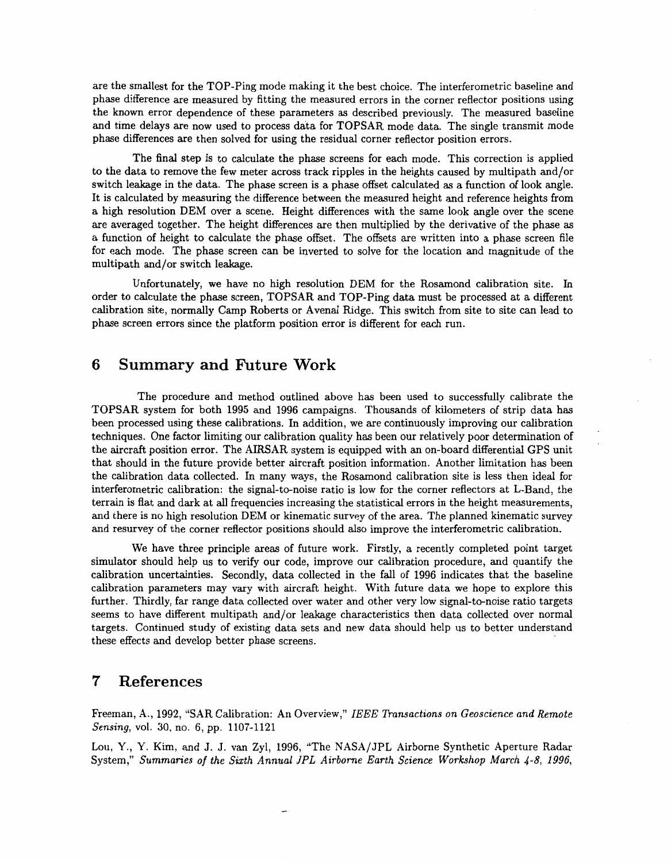are the smallest for the TOP-Ping mode making it the best choice. The interferometric baseline and phase difference are measured by fitting the measured errors in the corner reflector positions using the known error dependence of these parameters as described previously. The measured baseline and time delays are now used to process data for TOPSAR mode data. The single transmit mode phase differences are then solved for using the residual corner reflector position errors.

The final step is to calculate the phase screens for each mode. This correction is applied to the data to remove the few meter across track ripples in the heights caused by multipath and/or switch leakage in the data. The phase screen is a phase offset calculated as **a** function of look angle. It is calculated by measuring the difference between the measured height and reference heights from a high resolution **DEM** over a scene. Height differences with the same look angle over the scene are averaged together. The height differences are then multiplied by the derivative of the phase as a function of height to calculate the phase offset. The offsets are written into a phase screen file for each mode. The phase screen can be inverted to solve for the location and magnitude of the multipath and/or switch leakage.

Unfortunately, we have no high resolution **DEM** for the Rosamond calibration site. In order to calculate the phase screen, TOPSAR and TOP-Ping data must be processed at a different calibration site, normally Camp Roberts or Avenal Ridge. This switch from site to site can lead to phase screen errors since the platform position error is different for each run.

## **6 Summary and Future Work**

The procedure and method outlined above has been used to successfully calibrate the TOPSAR system for both **1995** and **1996** campaigns. Thousands of kilometers of strip data has been processed using these calibrations. In addition, we are continuously improving our calibration techniques. One factor limiting our calibration quality has been our relatively poor determination of the aircraft position error. The AIRSAR system is equipped with an on-board differential GPS unit that should in the future provide better aircraft position information. Another limitation has been the calibration data collected. In many ways, the Rosamond calibration site is less then ideal for interferometric calibration: the signal-to-noise ratio is low for the corner reflectors at L-Band, the terrain is flat and dark at all frequencies increasing the statistical errors in the height measurements, and there is no high resolution **DEM** or kinematic survey of the area. The planned kinematic survey and resurvey of the corner reflector positions should also improve the interferometric calibration.

We have three principle areas of future work. Firstly, a recently completed point target simulator should help us to verify our code, improve our calibration procedure, and quantify the calibration uncertainties. Secondly, data collected in the fall of **1996** indicates that the baseline calibration parameters may vary with aircraft height. With future data we hope to explore this further. Thirdly, far range data collected over water and other very low signal-to-noise ratio targets seems to have different multipath and/or leakage characteristics then data collected over normal targets. Continued study of existing data sets and new data should help us to better understand these effects and develop better phase screens.

## **7 References**

Freeman, **A., 1992,** "SAR Calibration: An Overview," *IEEE Dansactions on Geoscience and Remote Sensing,* vol. **30,** no. **6,** pp. **1107-1121** 

Lou, Y., Y. Kim, and J. J. van Zyl, **1996,** "The NASA/JPL Airborne Synthetic Aperture Radar System," *Summaries of the Sixth Annual JPL Airborne Earth Science Workshop March* 4-8, *1996,*